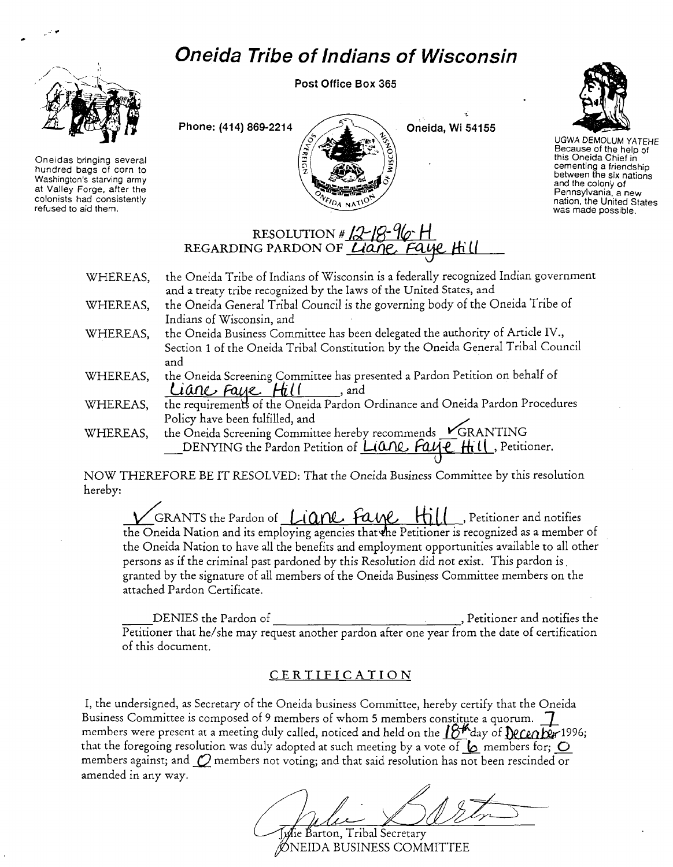## *Oneida Tribe* **of** *Indians* **of** *Wisconsin*



 $\mathcal{L}(\bullet)$ 

Oneidas bringing several hundred bags of corn to Washington's starving army at Valley Forge, after the colonists had consistently refused to aid them.

Post Office Box 365





*UGWA* DEMOLUM YATEHE Because of the help of this Oneida Chief in cementing a friendship between the six nations and the colony of Pennsylvania, a new nation, the United States was made possible.

## RESOLUTION # 12-18-96-H REGARDING PARDON OF *LIONE*, Faye Hill

- WHEREAS, WHEREAS, the Oneida Tribe of Indians of Wisconsin is a federally recognized Indian government and a treaty tribe recognized by the laws of the United States, and the Oneida General Tribal Council is the governing body of the Oneida Tribe of Indians of Wisconsin, and
- WHEREAS, the Oneida Business Committee has been delegated the authority of Article IV., Section 1 of the Oneida Tribal Constitution by the Oneida General Tribal Council and
- WHEREAS, the Oneida Screening Committee has presented a Pardon Petition on behalf of Liane Faye Hill and
- WHEREAS, the requirements of the Oneida Pardon Ordinance and Oneida Pardon Procedures Policy have been fulfilled, and **// Denote the limit of the limit of the limit of the limit of the limit of the**
- WHEREAS, the Oneida Screening Committee hereby recommends KGRANTING DENYING the Pardon Petition of *L(ANL, FAUL Hill*, Petitioner.

NOW THEREFORE BE IT RESOLVED: That the Oneida Business Committee by *this* resolution hereby:

VGRANTS the Pardon of <u>Liane</u> fane Hill, Petitioner and notifies the Oneida Nation and its employing agencies that the Petitioner is recognized as a member of the Oneida Nation to have all the benefits and employment opportunities available to all other persons as if the criminal past pardoned by this Resolution did not exist. This pardon is. granted by the signature of all members of the Oneida Business Committee members on the attached Pardon Certificate.

DENIES the Pardon of  $\qquad \qquad$ , Petitioner and notifies the Petitioner that *hel* she may request another pardon after one year from the date of certification of this document.

## CER TIFICATION

I, the undersigned, as Secretary of the Oneida business Committee, hereby certify that the Oneida Business Committee is composed of 9 members of whom 5 members constitute a quorum. 7 members were present at a meeting duly called, noticed and held on the  $12^{+}$ day of  $\Omega$ Ce $\alpha$ Der 1996; that the foregoing resolution was duly adopted at such meeting by a vote of  $\&$  members for;  $\bigcirc$ members against; and  $\mathcal O$  members not voting; and that said resolution has not been rescinded or amended in any way.

 $\mathscr{A}$ ie Barton, Tribal Secretary NElDA BUSINESS COMMITTEE